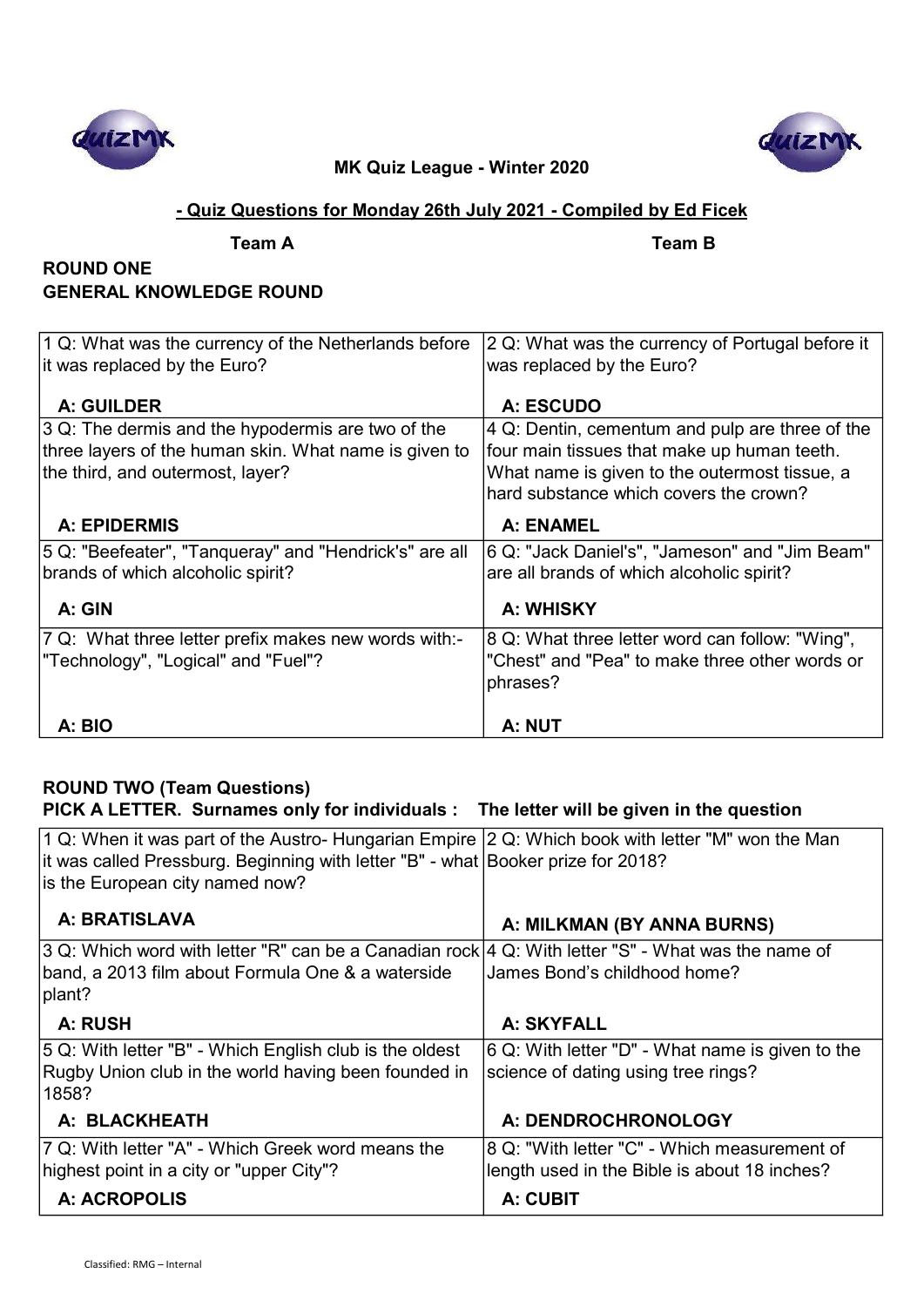



### - Quiz Questions for Monday 26th July 2021 - Compiled by Ed Ficek

Team A Team B

## ROUND ONE GENERAL KNOWLEDGE ROUND

| 1 Q: What was the currency of the Netherlands before   | 2 Q: What was the currency of Portugal before it |
|--------------------------------------------------------|--------------------------------------------------|
| it was replaced by the Euro?                           | was replaced by the Euro?                        |
|                                                        |                                                  |
| <b>A: GUILDER</b>                                      | A: ESCUDO                                        |
| 3 Q: The dermis and the hypodermis are two of the      | 4 Q: Dentin, cementum and pulp are three of the  |
| three layers of the human skin. What name is given to  | four main tissues that make up human teeth.      |
| the third, and outermost, layer?                       | What name is given to the outermost tissue, a    |
|                                                        | hard substance which covers the crown?           |
| <b>A: EPIDERMIS</b>                                    | <b>A: ENAMEL</b>                                 |
| 5 Q: "Beefeater", "Tanqueray" and "Hendrick's" are all | 6 Q: "Jack Daniel's", "Jameson" and "Jim Beam"   |
| brands of which alcoholic spirit?                      | are all brands of which alcoholic spirit?        |
|                                                        |                                                  |
| A: GIN                                                 | A: WHISKY                                        |
| 7 Q: What three letter prefix makes new words with:-   | 8 Q: What three letter word can follow: "Wing",  |
| "Technology", "Logical" and "Fuel"?                    | "Chest" and "Pea" to make three other words or   |
|                                                        | phrases?                                         |
|                                                        |                                                  |
| A: BIO                                                 | A: NUT                                           |

## ROUND TWO (Team Questions)

## PICK A LETTER. Surnames only for individuals : The letter will be given in the question

| 1 Q: When it was part of the Austro- Hungarian Empire $ 2$ Q: Which book with letter "M" won the Man<br>it was called Pressburg. Beginning with letter "B" - what Booker prize for 2018?<br>is the European city named now? |                                                                                                                 |
|-----------------------------------------------------------------------------------------------------------------------------------------------------------------------------------------------------------------------------|-----------------------------------------------------------------------------------------------------------------|
| A: BRATISLAVA                                                                                                                                                                                                               | A: MILKMAN (BY ANNA BURNS)                                                                                      |
| 3 Q: Which word with letter "R" can be a Canadian rock 4 Q: With letter "S" - What was the name of<br>band, a 2013 film about Formula One & a waterside<br>plant?                                                           | James Bond's childhood home?                                                                                    |
| A: RUSH                                                                                                                                                                                                                     | A: SKYFALL                                                                                                      |
| 5 Q: With letter "B" - Which English club is the oldest<br>Rugby Union club in the world having been founded in<br>1858?                                                                                                    | 6 Q: With letter "D" - What name is given to the<br>science of dating using tree rings?                         |
| A: BLACKHEATH                                                                                                                                                                                                               | A: DENDROCHRONOLOGY                                                                                             |
| 7 Q: With letter "A" - Which Greek word means the<br>highest point in a city or "upper City"?<br>A: ACROPOLIS                                                                                                               | 8 Q: "With letter "C" - Which measurement of<br>length used in the Bible is about 18 inches?<br><b>A: CUBIT</b> |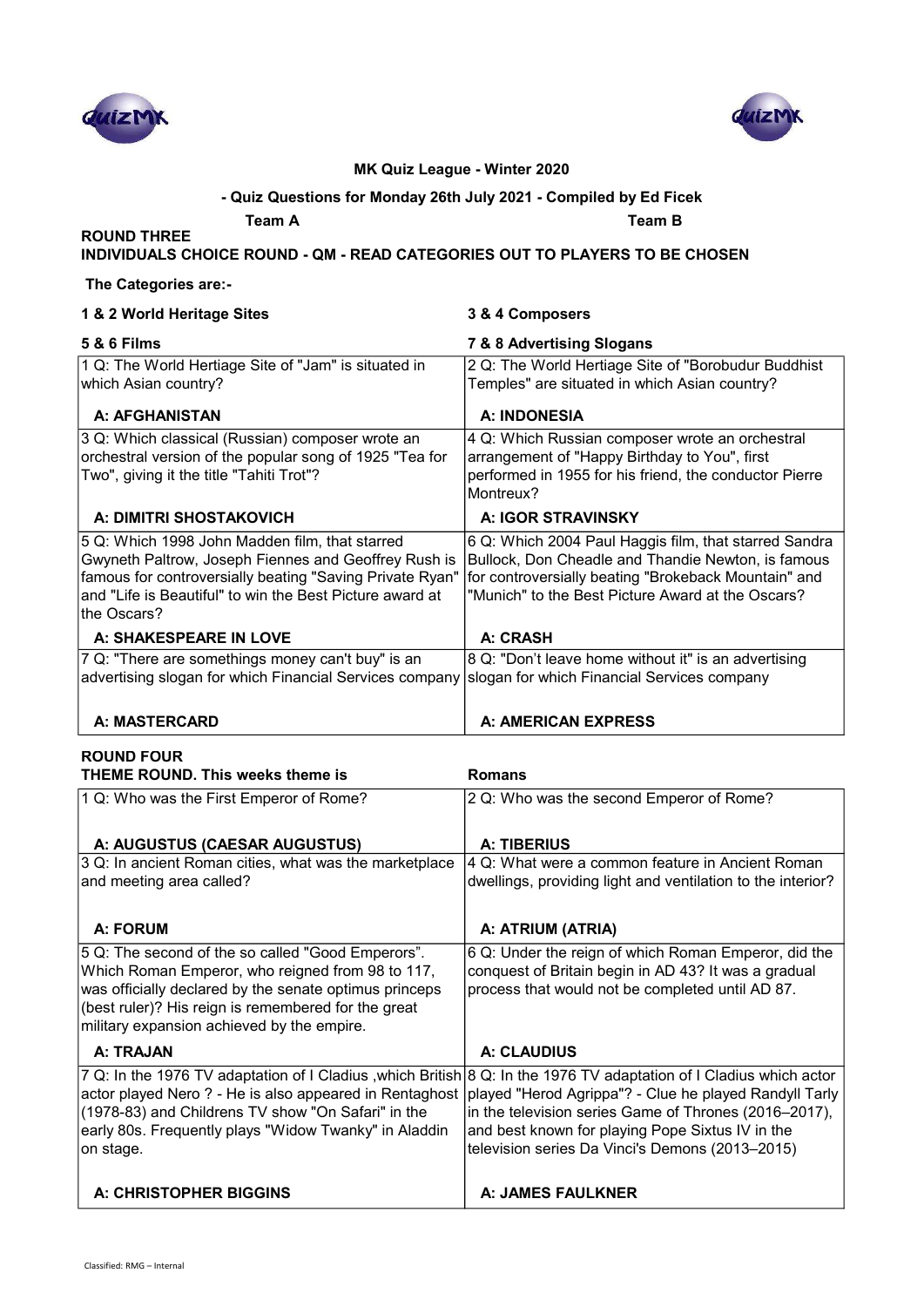



#### - Quiz Questions for Monday 26th July 2021 - Compiled by Ed Ficek

Team A Green Contract Contract Contract Contract Contract Contract Contract Contract Contract Contract Contract Contract Contract Contract Contract Contract Contract Contract Contract Contract Contract Contract Contract Co

#### INDIVIDUALS CHOICE ROUND - QM - READ CATEGORIES OUT TO PLAYERS TO BE CHOSEN

#### The Categories are:-

ROUND THREE

| 1 & 2 World Heritage Sites                               | 3 & 4 Composers                                        |
|----------------------------------------------------------|--------------------------------------------------------|
| <b>5 &amp; 6 Films</b>                                   | 7 & 8 Advertising Slogans                              |
| 1 Q: The World Hertiage Site of "Jam" is situated in     | 2 Q: The World Hertiage Site of "Borobudur Buddhist    |
| which Asian country?                                     | Temples" are situated in which Asian country?          |
| <b>A: AFGHANISTAN</b>                                    | <b>A: INDONESIA</b>                                    |
| 3 Q: Which classical (Russian) composer wrote an         | 4 Q: Which Russian composer wrote an orchestral        |
| orchestral version of the popular song of 1925 "Tea for  | arrangement of "Happy Birthday to You", first          |
| Two", giving it the title "Tahiti Trot"?                 | performed in 1955 for his friend, the conductor Pierre |
|                                                          | Montreux?                                              |
| A: DIMITRI SHOSTAKOVICH                                  | A: IGOR STRAVINSKY                                     |
| 5 Q: Which 1998 John Madden film, that starred           | 6 Q: Which 2004 Paul Haggis film, that starred Sandra  |
| Gwyneth Paltrow, Joseph Fiennes and Geoffrey Rush is     | Bullock, Don Cheadle and Thandie Newton, is famous     |
| famous for controversially beating "Saving Private Ryan" | for controversially beating "Brokeback Mountain" and   |
| and "Life is Beautiful" to win the Best Picture award at | "Munich" to the Best Picture Award at the Oscars?      |
| lthe Oscars?                                             |                                                        |
| A: SHAKESPEARE IN LOVE                                   | <b>A: CRASH</b>                                        |
| 7 Q: "There are somethings money can't buy" is an        | 8 Q: "Don't leave home without it" is an advertising   |
| advertising slogan for which Financial Services company  | slogan for which Financial Services company            |
|                                                          |                                                        |
| <b>A: MASTERCARD</b>                                     | A: AMERICAN EXPRESS                                    |

#### ROUND FOUR THEME ROUND. This weeks theme is Romans 1 Q: Who was the First Emperor of Rome? 2 Q: Who was the second Emperor of Rome? A: AUGUSTUS (CAESAR AUGUSTUS) A: TIBERIUS 3 Q: In ancient Roman cities, what was the marketplace and meeting area called? 4 Q: What were a common feature in Ancient Roman dwellings, providing light and ventilation to the interior? A: FORUM **A:** FORUM **A:** A: ATRIUM (ATRIA) 5 Q: The second of the so called "Good Emperors". Which Roman Emperor, who reigned from 98 to 117, was officially declared by the senate optimus princeps (best ruler)? His reign is remembered for the great military expansion achieved by the empire. 6 Q: Under the reign of which Roman Emperor, did the conquest of Britain begin in AD 43? It was a gradual process that would not be completed until AD 87. A· TRAJAN A· CLAUDIUS 7 Q: In the 1976 TV adaptation of I Cladius ,which British 8 Q: In the 1976 TV adaptation of I Cladius which actor actor played Nero ? - He is also appeared in Rentaghost (1978-83) and Childrens TV show "On Safari" in the early 80s. Frequently plays "Widow Twanky" in Aladdin on stage. played "Herod Agrippa"? - Clue he played Randyll Tarly in the television series Game of Thrones (2016–2017), and best known for playing Pope Sixtus IV in the television series Da Vinci's Demons (2013–2015)

A: CHRISTOPHER BIGGINS **A: LA: JAMES FAULKNER**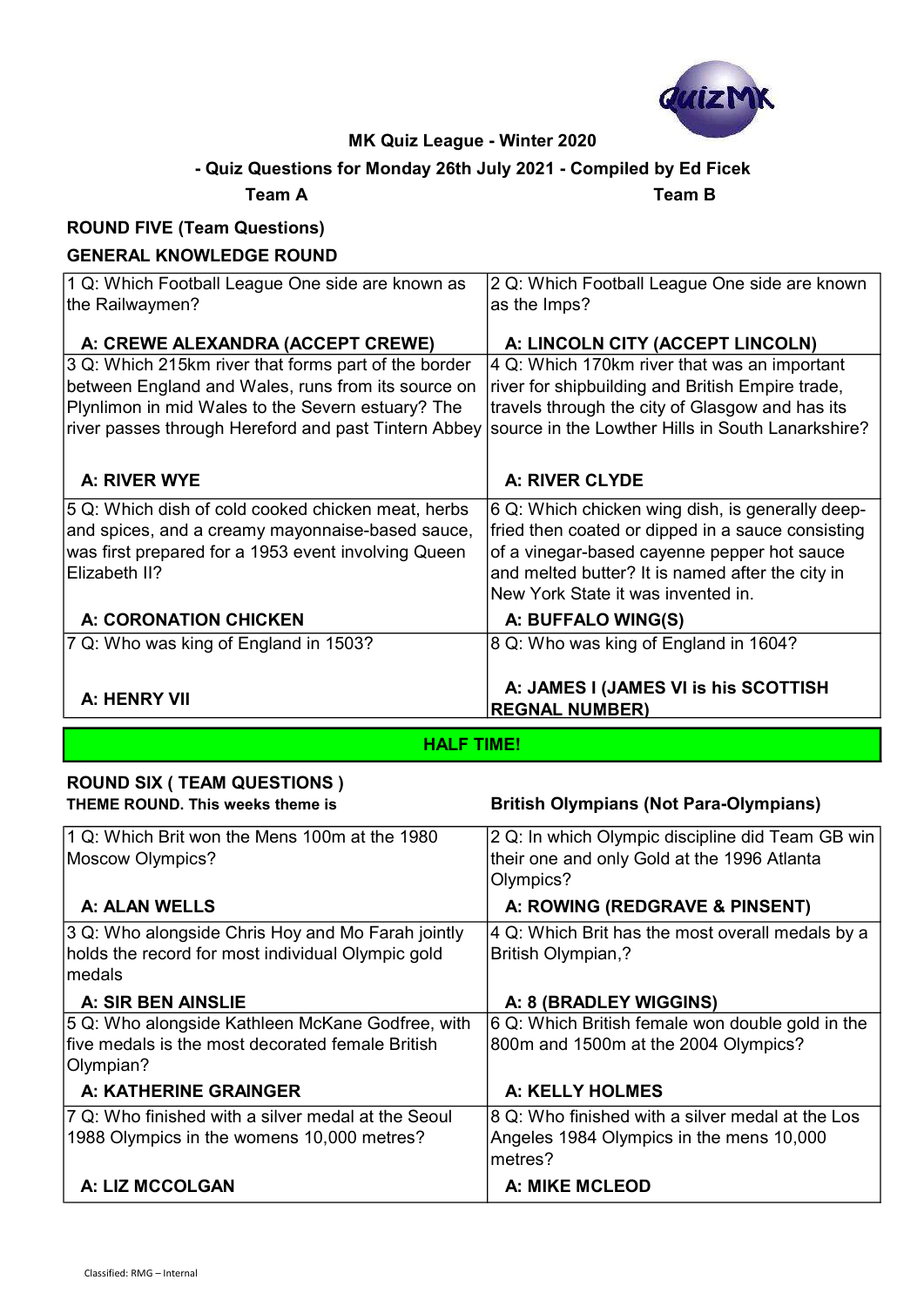

## - Quiz Questions for Monday 26th July 2021 - Compiled by Ed Ficek

Team A Team B

## ROUND FIVE (Team Questions)

## GENERAL KNOWLEDGE ROUND

| A: HENRY VII                                                                                                                                                                   | A: JAMES I (JAMES VI is his SCOTTISH<br><b>REGNAL NUMBER)</b>                                                                                                                                                                                  |
|--------------------------------------------------------------------------------------------------------------------------------------------------------------------------------|------------------------------------------------------------------------------------------------------------------------------------------------------------------------------------------------------------------------------------------------|
| 7 Q: Who was king of England in 1503?                                                                                                                                          | 8 Q: Who was king of England in 1604?                                                                                                                                                                                                          |
| <b>A: CORONATION CHICKEN</b>                                                                                                                                                   | A: BUFFALO WING(S)                                                                                                                                                                                                                             |
| 5 Q: Which dish of cold cooked chicken meat, herbs<br>and spices, and a creamy mayonnaise-based sauce,<br>was first prepared for a 1953 event involving Queen<br>Elizabeth II? | 6 Q: Which chicken wing dish, is generally deep-<br>fried then coated or dipped in a sauce consisting<br>of a vinegar-based cayenne pepper hot sauce<br>and melted butter? It is named after the city in<br>New York State it was invented in. |
| A: RIVER WYE                                                                                                                                                                   | <b>A: RIVER CLYDE</b>                                                                                                                                                                                                                          |
| Plynlimon in mid Wales to the Severn estuary? The<br>river passes through Hereford and past Tintern Abbey                                                                      | travels through the city of Glasgow and has its<br>source in the Lowther Hills in South Lanarkshire?                                                                                                                                           |
| 3 Q: Which 215km river that forms part of the border<br>between England and Wales, runs from its source on                                                                     | 4 Q: Which 170km river that was an important<br>river for shipbuilding and British Empire trade,                                                                                                                                               |
| A: CREWE ALEXANDRA (ACCEPT CREWE)                                                                                                                                              | A: LINCOLN CITY (ACCEPT LINCOLN)                                                                                                                                                                                                               |
| the Railwaymen?                                                                                                                                                                | as the Imps?                                                                                                                                                                                                                                   |
| 1 Q: Which Football League One side are known as                                                                                                                               | 2 Q: Which Football League One side are known                                                                                                                                                                                                  |

HALF TIME!

#### ROUND SIX ( TEAM QUESTIONS ) THEME ROUND. This weeks theme is **British Olympians (Not Para-Olympians)**

| 1 Q: Which Brit won the Mens 100m at the 1980                  | 2 Q: In which Olympic discipline did Team GB win         |
|----------------------------------------------------------------|----------------------------------------------------------|
| Moscow Olympics?                                               | their one and only Gold at the 1996 Atlanta<br>Olympics? |
| <b>A: ALAN WELLS</b>                                           | A: ROWING (REDGRAVE & PINSENT)                           |
| 3 Q: Who alongside Chris Hoy and Mo Farah jointly              | 4 Q: Which Brit has the most overall medals by a         |
| holds the record for most individual Olympic gold<br>medals    | <b>British Olympian,?</b>                                |
| A: SIR BEN AINSLIE                                             | A: 8 (BRADLEY WIGGINS)                                   |
| 5 Q: Who alongside Kathleen McKane Godfree, with               | 6 Q: Which British female won double gold in the         |
| Ifive medals is the most decorated female British<br>Olympian? | 800m and 1500m at the 2004 Olympics?                     |
| A: KATHERINE GRAINGER                                          | A: KELLY HOLMES                                          |
| 7 Q: Who finished with a silver medal at the Seoul             | 8 Q: Who finished with a silver medal at the Los         |
| 1988 Olympics in the womens 10,000 metres?                     | Angeles 1984 Olympics in the mens 10,000<br>metres?      |
| A: LIZ MCCOLGAN                                                | <b>A: MIKE MCLEOD</b>                                    |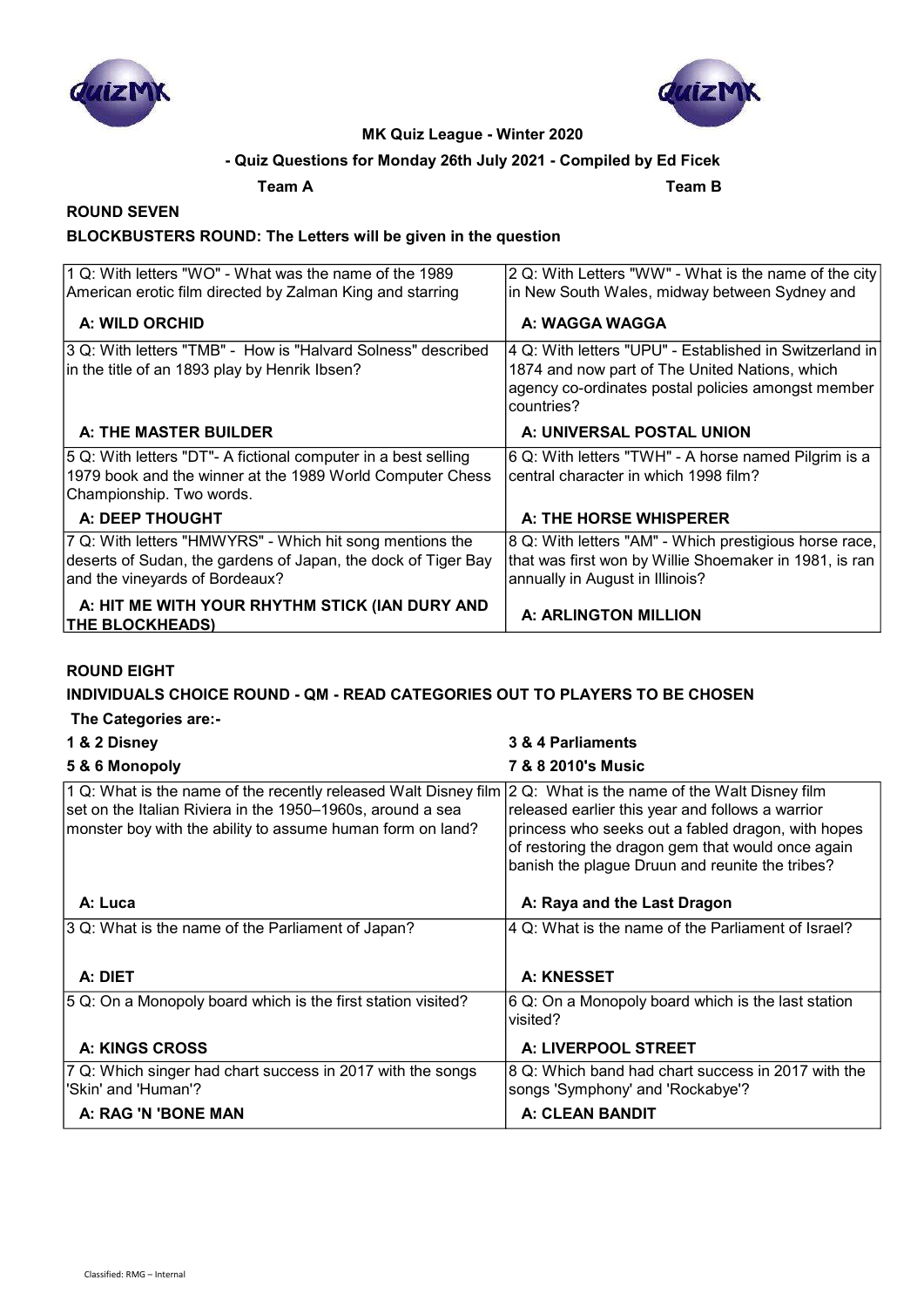



### - Quiz Questions for Monday 26th July 2021 - Compiled by Ed Ficek

Team A Team B

# ROUND SEVEN

## BLOCKBUSTERS ROUND: The Letters will be given in the question

| 1 Q: With letters "WO" - What was the name of the 1989                   | 2 Q: With Letters "WW" - What is the name of the city                                                              |
|--------------------------------------------------------------------------|--------------------------------------------------------------------------------------------------------------------|
| American erotic film directed by Zalman King and starring                | in New South Wales, midway between Sydney and                                                                      |
| A: WILD ORCHID                                                           | A: WAGGA WAGGA                                                                                                     |
| 3 Q: With letters "TMB" - How is "Halvard Solness" described             | 4 Q: With letters "UPU" - Established in Switzerland in                                                            |
| in the title of an 1893 play by Henrik Ibsen?                            | 1874 and now part of The United Nations, which<br>agency co-ordinates postal policies amongst member<br>countries? |
| A: THE MASTER BUILDER                                                    | A: UNIVERSAL POSTAL UNION                                                                                          |
| 5 Q: With letters "DT"- A fictional computer in a best selling           | 6 Q: With letters "TWH" - A horse named Pilgrim is a                                                               |
| 1979 book and the winner at the 1989 World Computer Chess                | central character in which 1998 film?                                                                              |
| Championship. Two words.                                                 |                                                                                                                    |
| A: DEEP THOUGHT                                                          | A: THE HORSE WHISPERER                                                                                             |
| 7 Q: With letters "HMWYRS" - Which hit song mentions the                 | 8 Q: With letters "AM" - Which prestigious horse race,                                                             |
| deserts of Sudan, the gardens of Japan, the dock of Tiger Bay            | that was first won by Willie Shoemaker in 1981, is ran                                                             |
| and the vineyards of Bordeaux?                                           | annually in August in Illinois?                                                                                    |
| A: HIT ME WITH YOUR RHYTHM STICK (IAN DURY AND<br><b>THE BLOCKHEADS)</b> | <b>A: ARLINGTON MILLION</b>                                                                                        |

#### ROUND EIGHT

#### INDIVIDUALS CHOICE ROUND - QM - READ CATEGORIES OUT TO PLAYERS TO BE CHOSEN

#### The Categories are:-

| 1 & 2 Disney                                                                                                                                                                                | 3 & 4 Parliaments                                                                                                                                                                                                                                               |
|---------------------------------------------------------------------------------------------------------------------------------------------------------------------------------------------|-----------------------------------------------------------------------------------------------------------------------------------------------------------------------------------------------------------------------------------------------------------------|
| 5 & 6 Monopoly                                                                                                                                                                              | <b>7 &amp; 8 2010's Music</b>                                                                                                                                                                                                                                   |
| 1 Q: What is the name of the recently released Walt Disney film<br>set on the Italian Riviera in the 1950–1960s, around a sea<br>monster boy with the ability to assume human form on land? | 2 Q: What is the name of the Walt Disney film<br>released earlier this year and follows a warrior<br>princess who seeks out a fabled dragon, with hopes<br>of restoring the dragon gem that would once again<br>banish the plague Druun and reunite the tribes? |
| A: Luca                                                                                                                                                                                     | A: Raya and the Last Dragon                                                                                                                                                                                                                                     |
| 3 Q: What is the name of the Parliament of Japan?                                                                                                                                           | 4 Q: What is the name of the Parliament of Israel?                                                                                                                                                                                                              |
|                                                                                                                                                                                             |                                                                                                                                                                                                                                                                 |
| A: DIET                                                                                                                                                                                     | A: KNESSET                                                                                                                                                                                                                                                      |
| 5 Q: On a Monopoly board which is the first station visited?                                                                                                                                | 6 Q: On a Monopoly board which is the last station<br>visited?                                                                                                                                                                                                  |
| <b>A: KINGS CROSS</b>                                                                                                                                                                       | A: LIVERPOOL STREET                                                                                                                                                                                                                                             |
| 7 Q: Which singer had chart success in 2017 with the songs<br>'Skin' and 'Human'?                                                                                                           | 8 Q: Which band had chart success in 2017 with the<br>songs 'Symphony' and 'Rockabye'?                                                                                                                                                                          |
| A: RAG 'N 'BONE MAN                                                                                                                                                                         | <b>A: CLEAN BANDIT</b>                                                                                                                                                                                                                                          |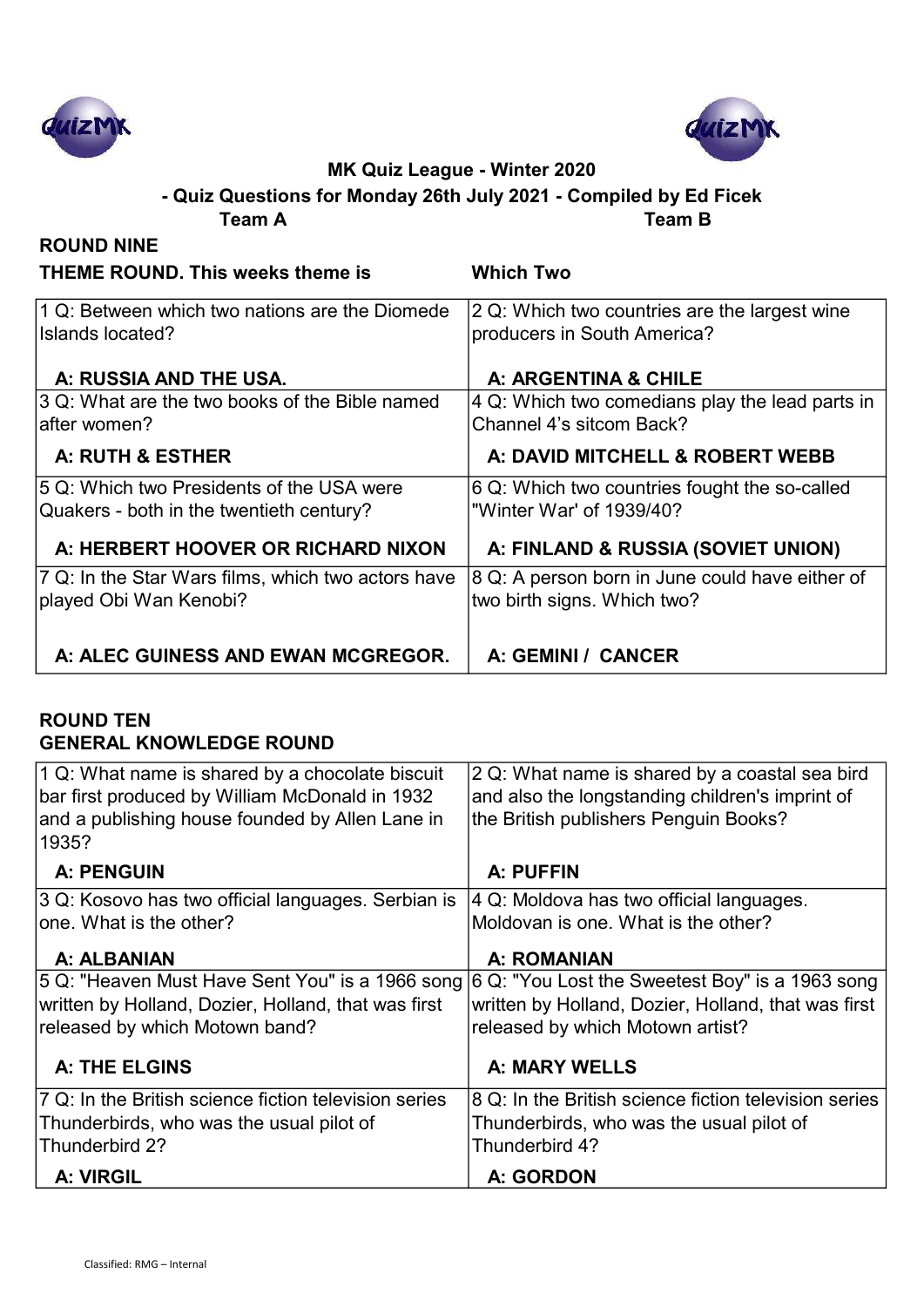



## Team A Team B - Quiz Questions for Monday 26th July 2021 - Compiled by Ed Ficek

| <b>ROUND NINE</b>                                                                     |                                                                                |
|---------------------------------------------------------------------------------------|--------------------------------------------------------------------------------|
| <b>THEME ROUND. This weeks theme is</b>                                               | <b>Which Two</b>                                                               |
| 1 Q: Between which two nations are the Diomede<br>Islands located?                    | 2 Q: Which two countries are the largest wine<br>producers in South America?   |
| A: RUSSIA AND THE USA.                                                                | A: ARGENTINA & CHILE                                                           |
| 3 Q: What are the two books of the Bible named<br>lafter women?                       | 4 Q: Which two comedians play the lead parts in<br>Channel 4's sitcom Back?    |
| A: RUTH & ESTHER                                                                      | A: DAVID MITCHELL & ROBERT WEBB                                                |
| 5 Q: Which two Presidents of the USA were<br>Quakers - both in the twentieth century? | 6 Q: Which two countries fought the so-called<br>"Winter War' of 1939/40?      |
| A: HERBERT HOOVER OR RICHARD NIXON                                                    | A: FINLAND & RUSSIA (SOVIET UNION)                                             |
| 7 Q: In the Star Wars films, which two actors have<br>played Obi Wan Kenobi?          | 8 Q: A person born in June could have either of<br>two birth signs. Which two? |
| A: ALEC GUINESS AND EWAN MCGREGOR.                                                    | A: GEMINI / CANCER                                                             |

## ROUND TEN GENERAL KNOWLEDGE ROUND

| Thunderbird 2?<br>A: VIRGIL                                                                       | Thunderbird 4?<br>A: GORDON                                                                       |
|---------------------------------------------------------------------------------------------------|---------------------------------------------------------------------------------------------------|
| 7 Q: In the British science fiction television series<br>Thunderbirds, who was the usual pilot of | 8 Q: In the British science fiction television series<br>Thunderbirds, who was the usual pilot of |
| <b>A: THE ELGINS</b>                                                                              | <b>A: MARY WELLS</b>                                                                              |
| written by Holland, Dozier, Holland, that was first<br>released by which Motown band?             | written by Holland, Dozier, Holland, that was first<br>released by which Motown artist?           |
| 5 Q: "Heaven Must Have Sent You" is a 1966 song 6 Q: "You Lost the Sweetest Boy" is a 1963 song   |                                                                                                   |
| A: ALBANIAN                                                                                       | <b>A: ROMANIAN</b>                                                                                |
| lone. What is the other?                                                                          | Moldovan is one. What is the other?                                                               |
| 3 Q: Kosovo has two official languages. Serbian is                                                | 4 Q: Moldova has two official languages.                                                          |
| <b>A: PENGUIN</b>                                                                                 | A: PUFFIN                                                                                         |
| and a publishing house founded by Allen Lane in<br> 1935?                                         | the British publishers Penguin Books?                                                             |
| bar first produced by William McDonald in 1932                                                    | and also the longstanding children's imprint of                                                   |
| 1 Q: What name is shared by a chocolate biscuit                                                   | 2 Q: What name is shared by a coastal sea bird                                                    |